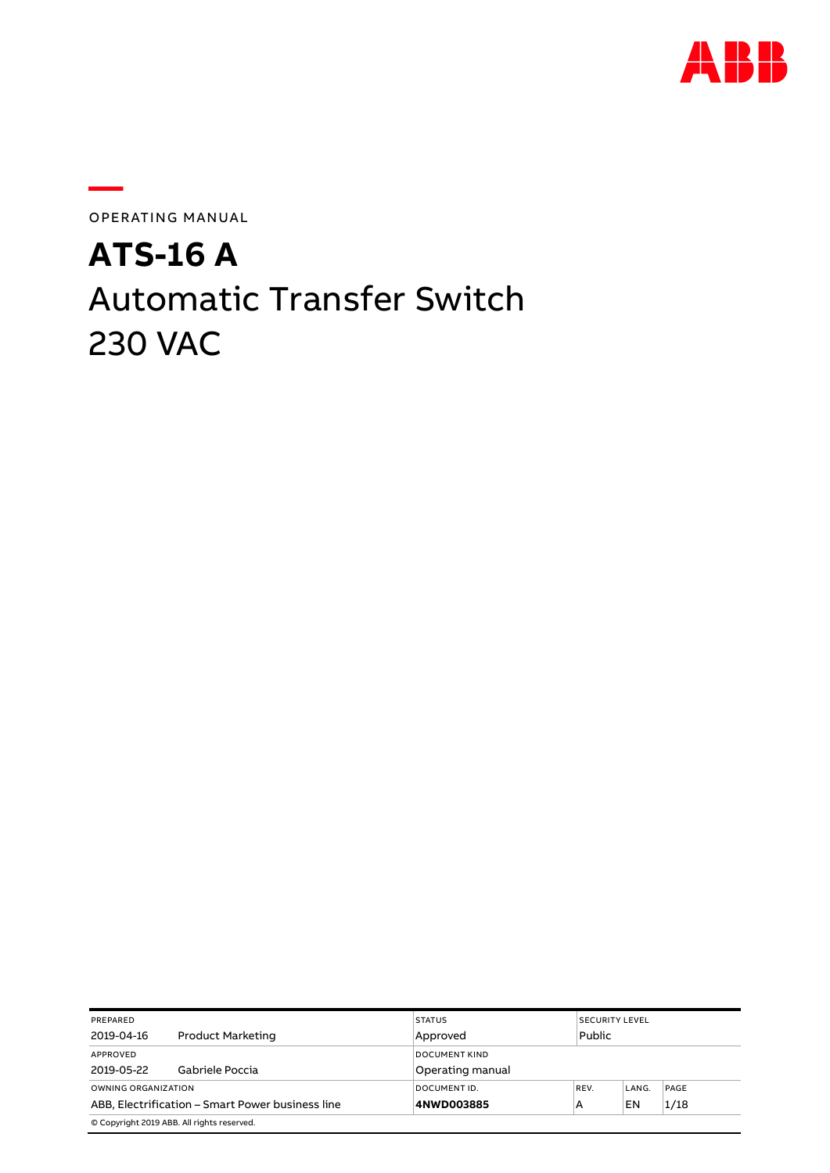

OPERATING MANUAL

**—**

# **ATS-16 A** Automatic Transfer Switch 230 VAC

| PREPARED                                         |                                            | <b>STATUS</b>        | <b>SECURITY LEVEL</b> |        |      |  |
|--------------------------------------------------|--------------------------------------------|----------------------|-----------------------|--------|------|--|
| 2019-04-16                                       | Product Marketing                          | Approved             |                       | Public |      |  |
| APPROVED                                         |                                            | <b>DOCUMENT KIND</b> |                       |        |      |  |
| 2019-05-22                                       | Gabriele Poccia                            | Operating manual     |                       |        |      |  |
| OWNING ORGANIZATION                              |                                            | DOCUMENT ID.         | REV.                  | LANG.  | PAGE |  |
| ABB, Electrification - Smart Power business line |                                            | 4NWD003885           | А                     | EN     | 1/18 |  |
|                                                  | © Copyright 2019 ABB. All rights reserved. |                      |                       |        |      |  |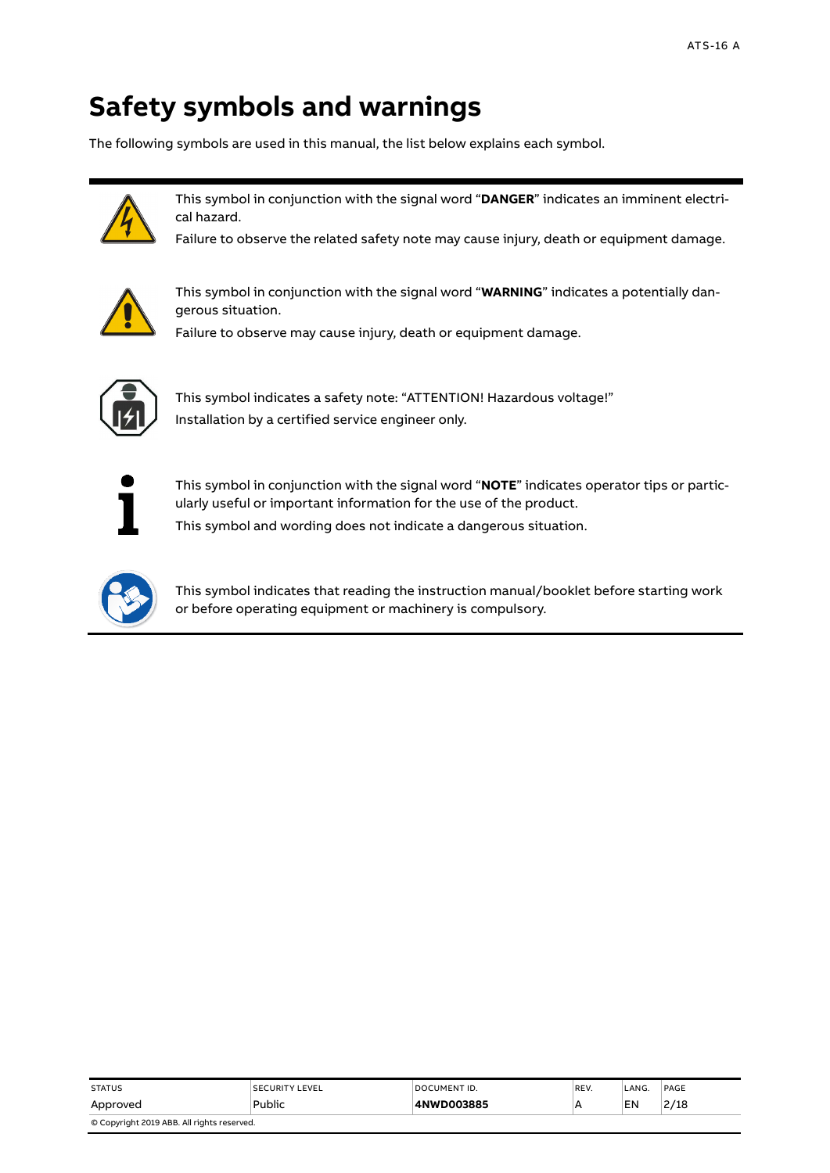# **Safety symbols and warnings**

The following symbols are used in this manual, the list below explains each symbol.



This symbol in conjunction with the signal word "**DANGER**" indicates an imminent electrical hazard.

Failure to observe the related safety note may cause injury, death or equipment damage.



This symbol in conjunction with the signal word "**WARNING**" indicates a potentially dangerous situation.

Failure to observe may cause injury, death or equipment damage.



This symbol indicates a safety note: "ATTENTION! Hazardous voltage!" Installation by a certified service engineer only.



This symbol in conjunction with the signal word "**NOTE**" indicates operator tips or particularly useful or important information for the use of the product. This symbol and wording does not indicate a dangerous situation.



This symbol indicates that reading the instruction manual/booklet before starting work or before operating equipment or machinery is compulsory.

| <b>STATUS</b>                              | <b>SECURITY LEVEL</b> | DOCUMENT ID. | REV. | LANG | PAGE |  |
|--------------------------------------------|-----------------------|--------------|------|------|------|--|
| Approved                                   | Public                | 4NWD003885   |      | EN   | 2/18 |  |
| © Copyright 2019 ABB. All rights reserved. |                       |              |      |      |      |  |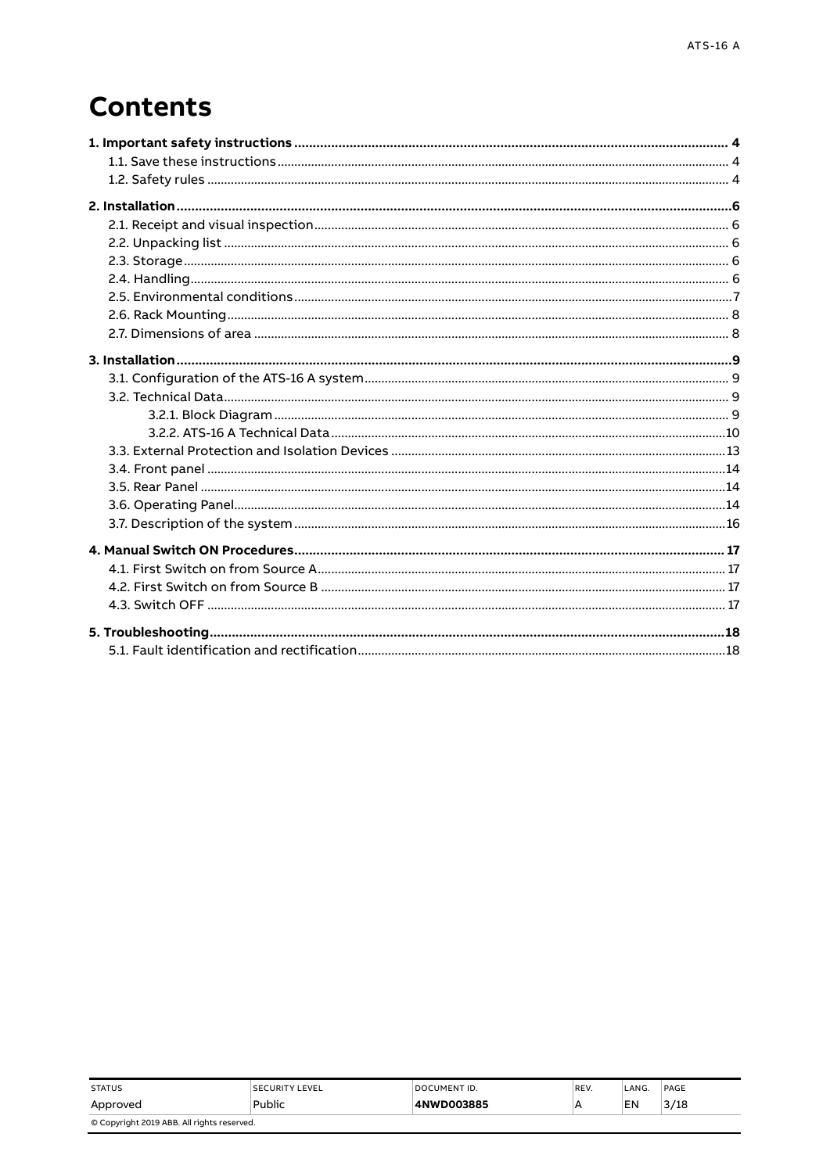# **Contents**

| <b>STATUS</b>                              | <b>SECURITY LEVEL</b> | DOCUMENT ID. | REV. | LANG. | PAGE |  |
|--------------------------------------------|-----------------------|--------------|------|-------|------|--|
| Approved                                   | Public                | 4NWD003885   | ۱A   | EN    | 3/18 |  |
| © Copyright 2019 ABB. All rights reserved. |                       |              |      |       |      |  |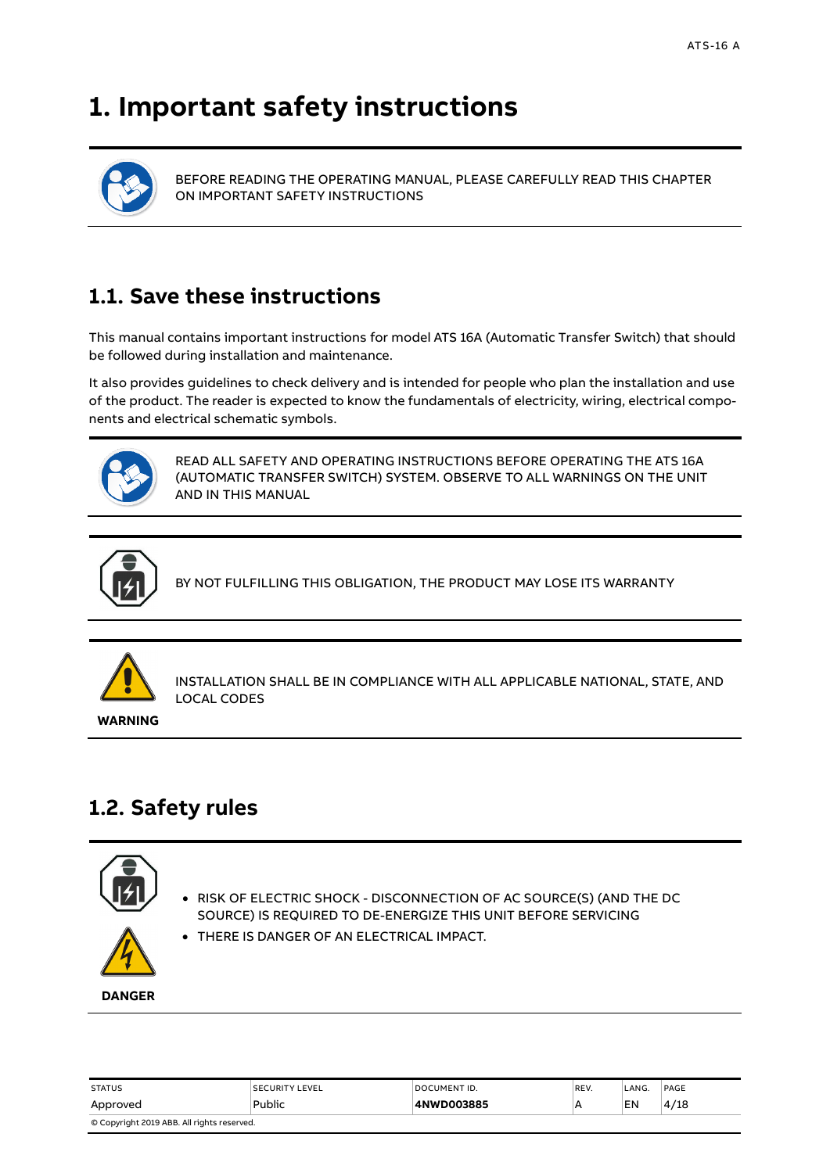# <span id="page-3-0"></span>**1. Important safety instructions**



BEFORE READING THE OPERATING MANUAL, PLEASE CAREFULLY READ THIS CHAPTER ON IMPORTANT SAFETY INSTRUCTIONS

# <span id="page-3-1"></span>**1.1. Save these instructions**

This manual contains important instructions for model ATS 16A (Automatic Transfer Switch) that should be followed during installation and maintenance.

It also provides guidelines to check delivery and is intended for people who plan the installation and use of the product. The reader is expected to know the fundamentals of electricity, wiring, electrical components and electrical schematic symbols.



READ ALL SAFETY AND OPERATING INSTRUCTIONS BEFORE OPERATING THE ATS 16A (AUTOMATIC TRANSFER SWITCH) SYSTEM. OBSERVE TO ALL WARNINGS ON THE UNIT AND IN THIS MANUAL



BY NOT FULFILLING THIS OBLIGATION, THE PRODUCT MAY LOSE ITS WARRANTY



INSTALLATION SHALL BE IN COMPLIANCE WITH ALL APPLICABLE NATIONAL, STATE, AND LOCAL CODES

**WARNING**

# <span id="page-3-2"></span>**1.2. Safety rules**



• RISK OF ELECTRIC SHOCK - DISCONNECTION OF AC SOURCE(S) (AND THE DC SOURCE) IS REQUIRED TO DE-ENERGIZE THIS UNIT BEFORE SERVICING



**DANGER**

| <b>STATUS</b>                              | <b>SECURITY LEVEL</b> | <b>DOCUMENT ID.</b> | REV. | LANG. | PAGE |  |
|--------------------------------------------|-----------------------|---------------------|------|-------|------|--|
| Approved                                   | Public                | 4NWD003885          | А    | EN    | 4/18 |  |
| © Copyright 2019 ABB. All rights reserved. |                       |                     |      |       |      |  |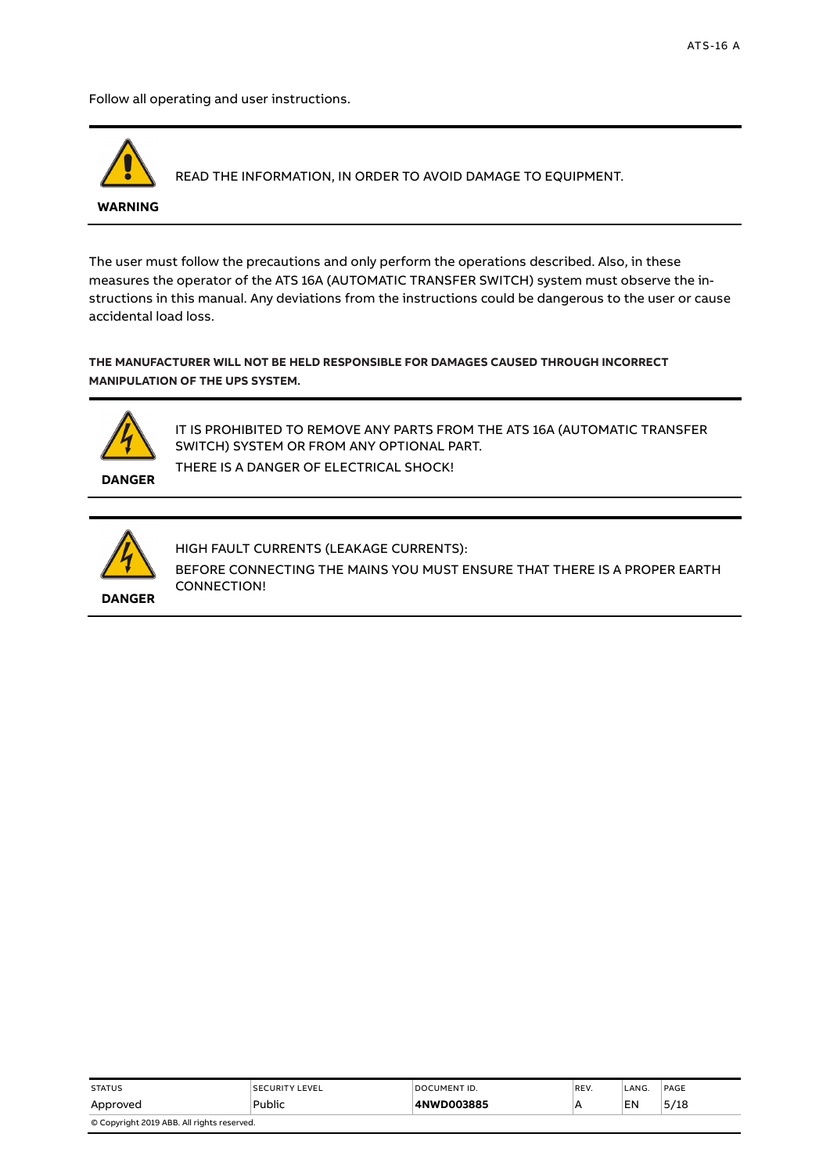Follow all operating and user instructions.



READ THE INFORMATION, IN ORDER TO AVOID DAMAGE TO EQUIPMENT.

#### **WARNING**

The user must follow the precautions and only perform the operations described. Also, in these measures the operator of the ATS 16A (AUTOMATIC TRANSFER SWITCH) system must observe the instructions in this manual. Any deviations from the instructions could be dangerous to the user or cause accidental load loss.

**THE MANUFACTURER WILL NOT BE HELD RESPONSIBLE FOR DAMAGES CAUSED THROUGH INCORRECT MANIPULATION OF THE UPS SYSTEM.**



IT IS PROHIBITED TO REMOVE ANY PARTS FROM THE ATS 16A (AUTOMATIC TRANSFER SWITCH) SYSTEM OR FROM ANY OPTIONAL PART. THERE IS A DANGER OF ELECTRICAL SHOCK!

**DANGER**



HIGH FAULT CURRENTS (LEAKAGE CURRENTS): BEFORE CONNECTING THE MAINS YOU MUST ENSURE THAT THERE IS A PROPER EARTH CONNECTION!

| <b>STATUS</b>                              | <b>SECURITY LEVEL</b> | DOCUMENT ID. | REV. | LANG. | PAGE |  |
|--------------------------------------------|-----------------------|--------------|------|-------|------|--|
| Approved                                   | Public                | 4NWD003885   | A    | EN    | 5/18 |  |
| © Copyright 2019 ABB. All rights reserved. |                       |              |      |       |      |  |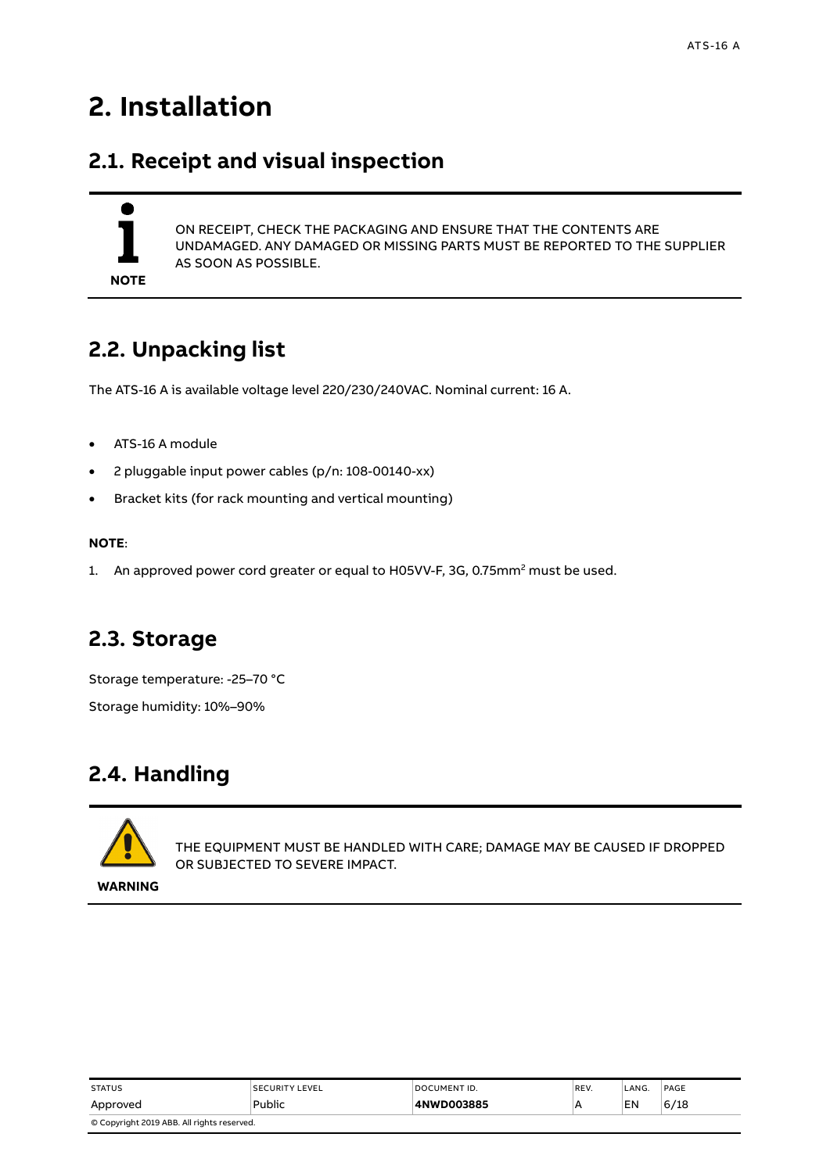# <span id="page-5-0"></span>**2. Installation**

## <span id="page-5-1"></span>**2.1. Receipt and visual inspection**

# **NOTE**

ON RECEIPT, CHECK THE PACKAGING AND ENSURE THAT THE CONTENTS ARE UNDAMAGED. ANY DAMAGED OR MISSING PARTS MUST BE REPORTED TO THE SUPPLIER AS SOON AS POSSIBLE.

# <span id="page-5-2"></span>**2.2. Unpacking list**

The ATS-16 A is available voltage level 220/230/240VAC. Nominal current: 16 A.

- ATS-16 A module
- 2 pluggable input power cables (p/n: 108-00140-xx)
- Bracket kits (for rack mounting and vertical mounting)

#### **NOTE**:

1. An approved power cord greater or equal to H05VV-F, 3G, 0.75mm<sup>2</sup> must be used.

## <span id="page-5-3"></span>**2.3. Storage**

Storage temperature: -25–70 °C Storage humidity: 10%–90%

# <span id="page-5-4"></span>**2.4. Handling**



THE EQUIPMENT MUST BE HANDLED WITH CARE; DAMAGE MAY BE CAUSED IF DROPPED OR SUBJECTED TO SEVERE IMPACT.

**WARNING**

| <b>STATUS</b>                              | <b>SECURITY LEVEL</b> | DOCUMENT ID. | REV. | LANG. | PAGE |  |
|--------------------------------------------|-----------------------|--------------|------|-------|------|--|
| Approved                                   | Public                | 4NWD003885   |      | EN    | 6/18 |  |
| © Copyright 2019 ABB. All rights reserved. |                       |              |      |       |      |  |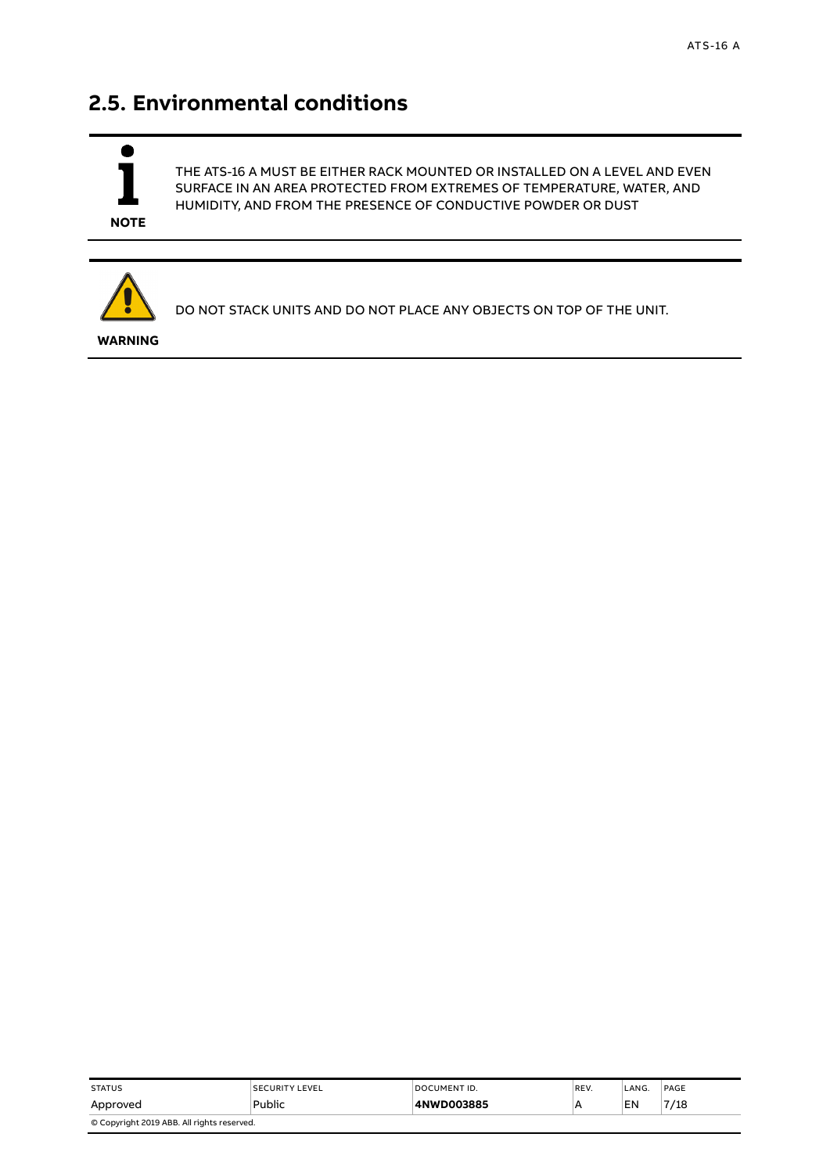# <span id="page-6-0"></span>**2.5. Environmental conditions**



THE ATS-16 A MUST BE EITHER RACK MOUNTED OR INSTALLED ON A LEVEL AND EVEN SURFACE IN AN AREA PROTECTED FROM EXTREMES OF TEMPERATURE, WATER, AND HUMIDITY, AND FROM THE PRESENCE OF CONDUCTIVE POWDER OR DUST



DO NOT STACK UNITS AND DO NOT PLACE ANY OBJECTS ON TOP OF THE UNIT.

**WARNING**

| <b>STATUS</b>                              | <b>SECURITY LEVEL</b> | DOCUMENT ID. | REV. | LANG. | PAGE |  |
|--------------------------------------------|-----------------------|--------------|------|-------|------|--|
| Approved                                   | Public                | 4NWD003885   | A    | EN    | 7/18 |  |
| © Copyright 2019 ABB. All rights reserved. |                       |              |      |       |      |  |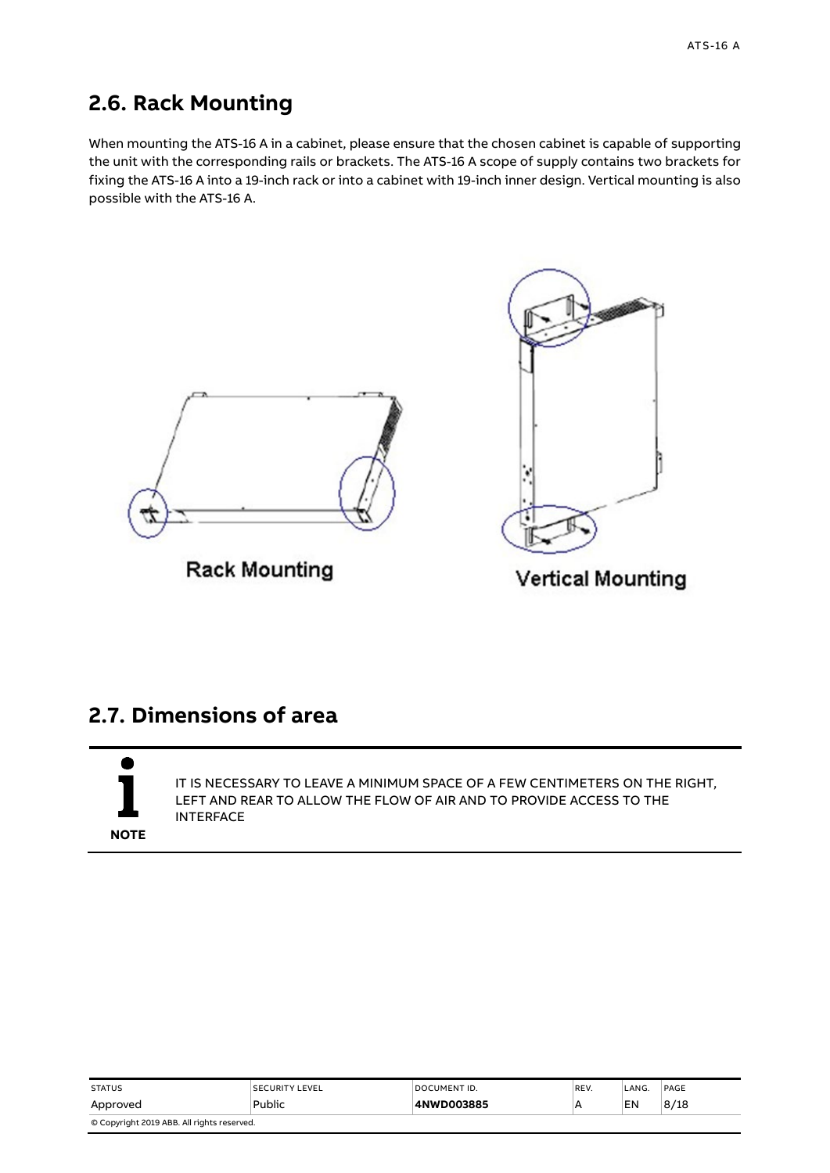# <span id="page-7-0"></span>**2.6. Rack Mounting**

When mounting the ATS-16 A in a cabinet, please ensure that the chosen cabinet is capable of supporting the unit with the corresponding rails or brackets. The ATS-16 A scope of supply contains two brackets for fixing the ATS-16 A into a 19-inch rack or into a cabinet with 19-inch inner design. Vertical mounting is also possible with the ATS-16 A.



**Rack Mounting** 



**Vertical Mounting** 

## <span id="page-7-1"></span>**2.7. Dimensions of area**

**NOTE**

IT IS NECESSARY TO LEAVE A MINIMUM SPACE OF A FEW CENTIMETERS ON THE RIGHT, LEFT AND REAR TO ALLOW THE FLOW OF AIR AND TO PROVIDE ACCESS TO THE INTERFACE

| <b>STATUS</b>                              | <b>SECURITY LEVEL</b> | DOCUMENT ID. | REV. | _ANG. | PAGE |  |
|--------------------------------------------|-----------------------|--------------|------|-------|------|--|
| Approved                                   | Public                | 4NWD003885   |      | EN    | 8/18 |  |
| © Copyright 2019 ABB. All rights reserved. |                       |              |      |       |      |  |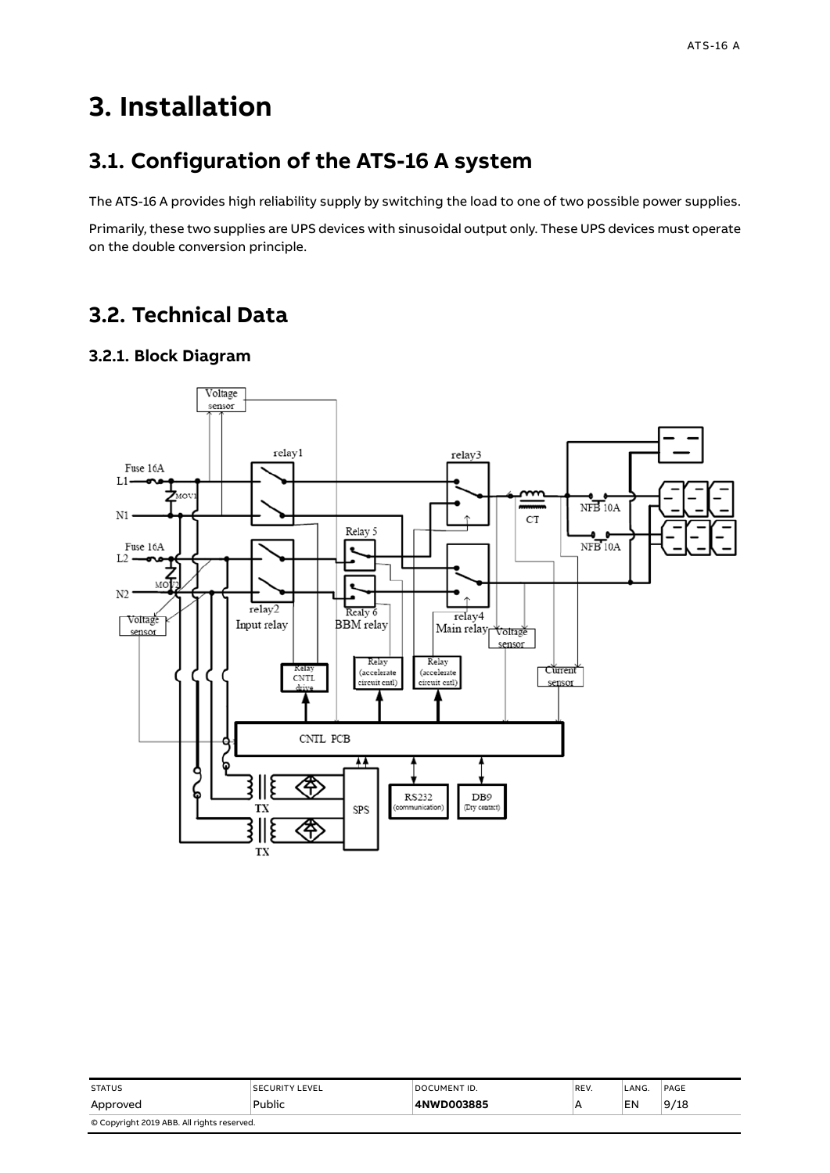# <span id="page-8-0"></span>**3. Installation**

## <span id="page-8-1"></span>**3.1. Configuration of the ATS-16 A system**

The ATS-16 A provides high reliability supply by switching the load to one of two possible power supplies.

Primarily, these two supplies are UPS devices with sinusoidal output only. These UPS devices must operate on the double conversion principle.

# <span id="page-8-2"></span>**3.2. Technical Data**

#### <span id="page-8-3"></span>**3.2.1. Block Diagram**



| <b>STATUS</b>                              | <b>SECURITY LEVEL</b> | DOCUMENT ID. | REV. | LANG. | PAGE |  |
|--------------------------------------------|-----------------------|--------------|------|-------|------|--|
| Approved                                   | Public                | 4NWD003885   | A    | EN    | 9/18 |  |
| © Copyright 2019 ABB. All rights reserved. |                       |              |      |       |      |  |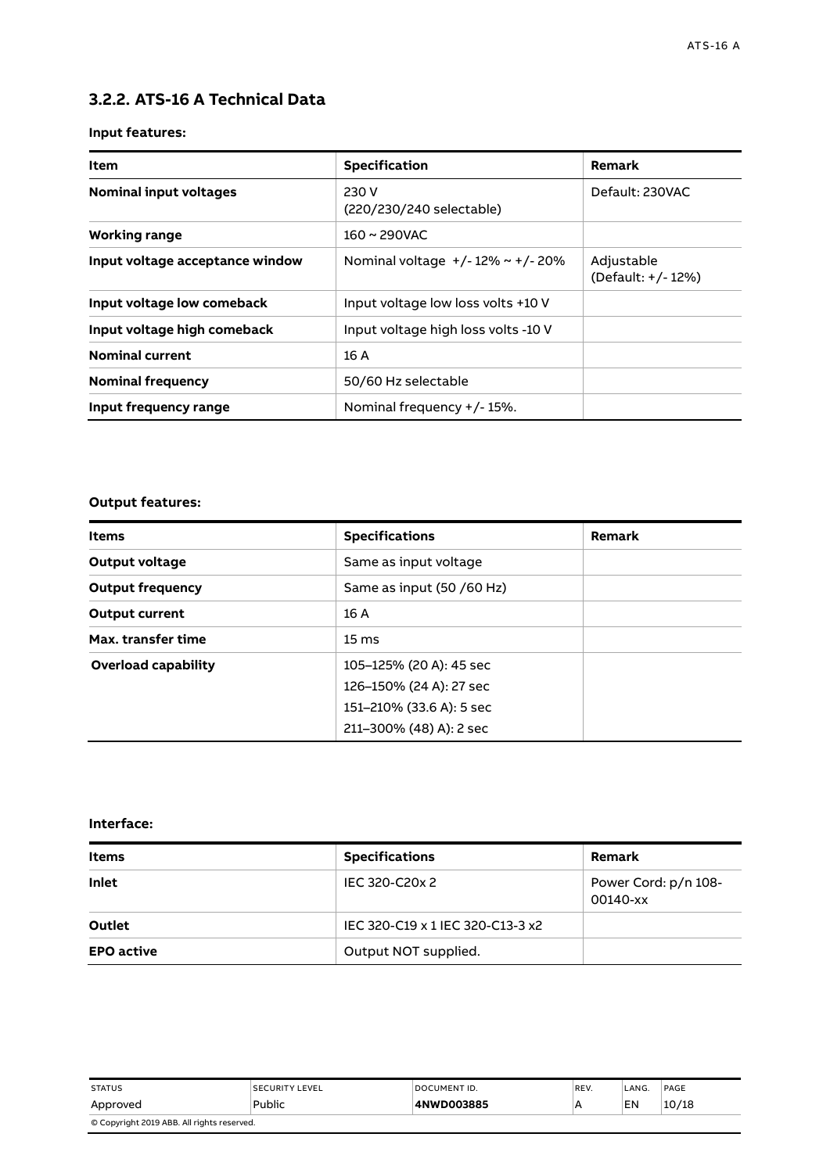#### <span id="page-9-0"></span>**3.2.2. ATS-16 A Technical Data**

#### **Input features:**

| Item                            | <b>Specification</b>                   | Remark                           |
|---------------------------------|----------------------------------------|----------------------------------|
| <b>Nominal input voltages</b>   | 230 V<br>(220/230/240 selectable)      | Default: 230VAC                  |
| <b>Working range</b>            | $160 \sim 290$ VAC                     |                                  |
| Input voltage acceptance window | Nominal voltage $+/-12\% \sim +/-20\%$ | Adjustable<br>(Default: +/- 12%) |
| Input voltage low comeback      | Input voltage low loss volts +10 V     |                                  |
| Input voltage high comeback     | Input voltage high loss volts -10 V    |                                  |
| <b>Nominal current</b>          | 16 A                                   |                                  |
| <b>Nominal frequency</b>        | 50/60 Hz selectable                    |                                  |
| Input frequency range           | Nominal frequency +/-15%.              |                                  |

#### **Output features:**

| <b>Items</b>            | <b>Specifications</b>     | Remark |
|-------------------------|---------------------------|--------|
| Output voltage          | Same as input voltage     |        |
| <b>Output frequency</b> | Same as input (50 /60 Hz) |        |
| <b>Output current</b>   | 16A                       |        |
| Max. transfer time      | $15 \text{ ms}$           |        |
| Overload capability     | 105–125% (20 A): 45 sec   |        |
|                         | 126–150% (24 A): 27 sec   |        |
|                         | 151-210% (33.6 A): 5 sec  |        |
|                         | 211-300% (48) A): 2 sec   |        |

#### **Interface:**

| <b>Items</b>      | <b>Specifications</b>            | Remark                           |
|-------------------|----------------------------------|----------------------------------|
| <b>Inlet</b>      | IEC 320-C20x 2                   | Power Cord: p/n 108-<br>00140-xx |
| <b>Outlet</b>     | IEC 320-C19 x 1 IEC 320-C13-3 x2 |                                  |
| <b>EPO</b> active | Output NOT supplied.             |                                  |

| <b>STATUS</b>                              | <b>SECURITY LEVEL</b> | DOCUMENT ID. | REV. | LANG. | PAGE  |
|--------------------------------------------|-----------------------|--------------|------|-------|-------|
| Approved                                   | Public                | 4NWD003885   | А    | EN    | 10/18 |
| © Copyright 2019 ABB. All rights reserved. |                       |              |      |       |       |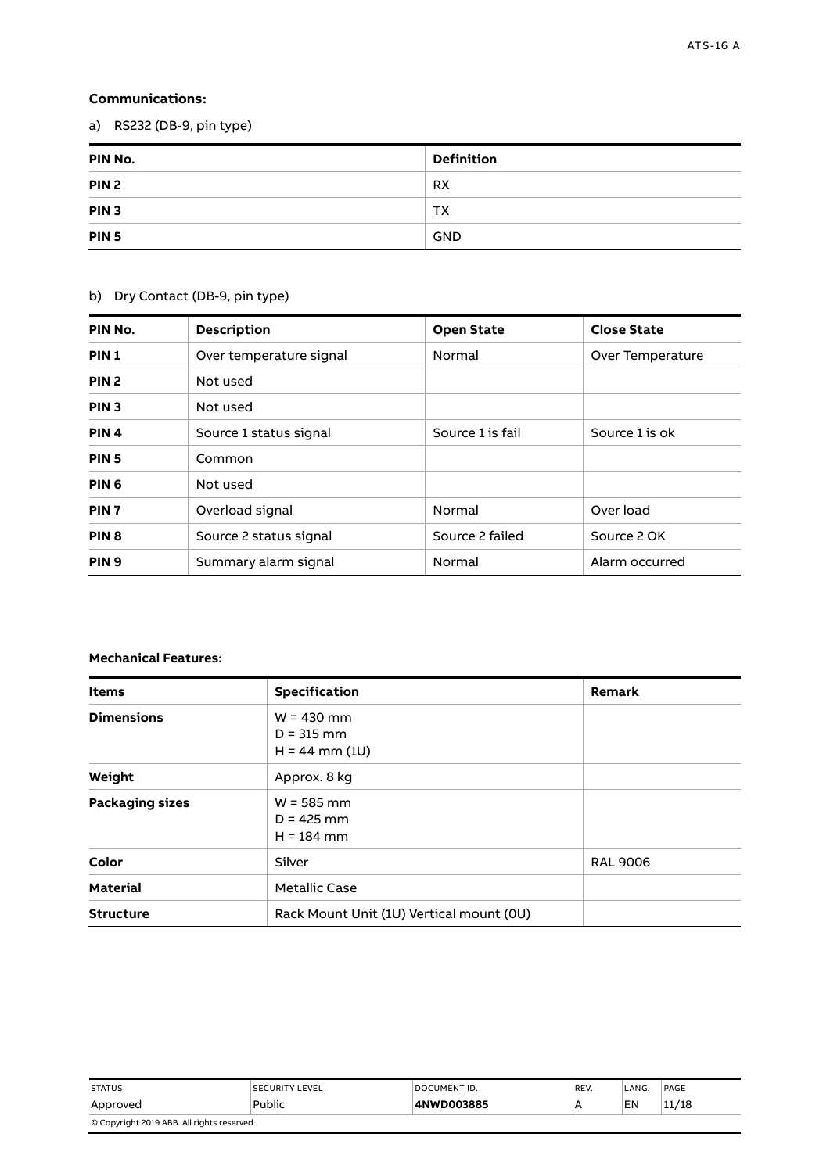#### **Communications:**

a) RS232 (DB-9, pin type)

| PIN No.          | <b>Definition</b> |
|------------------|-------------------|
| PIN <sub>2</sub> | <b>RX</b>         |
| PIN <sub>3</sub> | <b>TX</b>         |
| PIN <sub>5</sub> | <b>GND</b>        |

#### b) Dry Contact (DB-9, pin type)

| PIN No.          | <b>Description</b>      | <b>Open State</b> | <b>Close State</b> |
|------------------|-------------------------|-------------------|--------------------|
| PIN <sub>1</sub> | Over temperature signal | Normal            | Over Temperature   |
| PIN <sub>2</sub> | Not used                |                   |                    |
| PIN <sub>3</sub> | Not used                |                   |                    |
| PIN <sub>4</sub> | Source 1 status signal  | Source 1 is fail  | Source 1 is ok     |
| PIN <sub>5</sub> | Common                  |                   |                    |
| PIN <sub>6</sub> | Not used                |                   |                    |
| PIN <sub>7</sub> | Overload signal         | Normal            | Over load          |
| PIN <sub>8</sub> | Source 2 status signal  | Source 2 failed   | Source 2 OK        |
| PIN <sub>9</sub> | Summary alarm signal    | Normal            | Alarm occurred     |

#### **Mechanical Features:**

| <b>Items</b>           | Specification                                    | Remark          |
|------------------------|--------------------------------------------------|-----------------|
| <b>Dimensions</b>      | $W = 430$ mm<br>$D = 315$ mm<br>$H = 44$ mm (1U) |                 |
| Weight                 | Approx. 8 kg                                     |                 |
| <b>Packaging sizes</b> | $W = 585$ mm<br>$D = 425$ mm<br>$H = 184$ mm     |                 |
| Color                  | Silver                                           | <b>RAL 9006</b> |
| <b>Material</b>        | <b>Metallic Case</b>                             |                 |
| <b>Structure</b>       | Rack Mount Unit (1U) Vertical mount (0U)         |                 |

| <b>STATUS</b>                              | <b>SECURITY LEVEL</b> | DOCUMENT ID. | REV. | LANG. | PAGE  |
|--------------------------------------------|-----------------------|--------------|------|-------|-------|
| Approved                                   | Public                | 4NWD003885   | А    | EN    | 11/18 |
| © Copyright 2019 ABB. All rights reserved. |                       |              |      |       |       |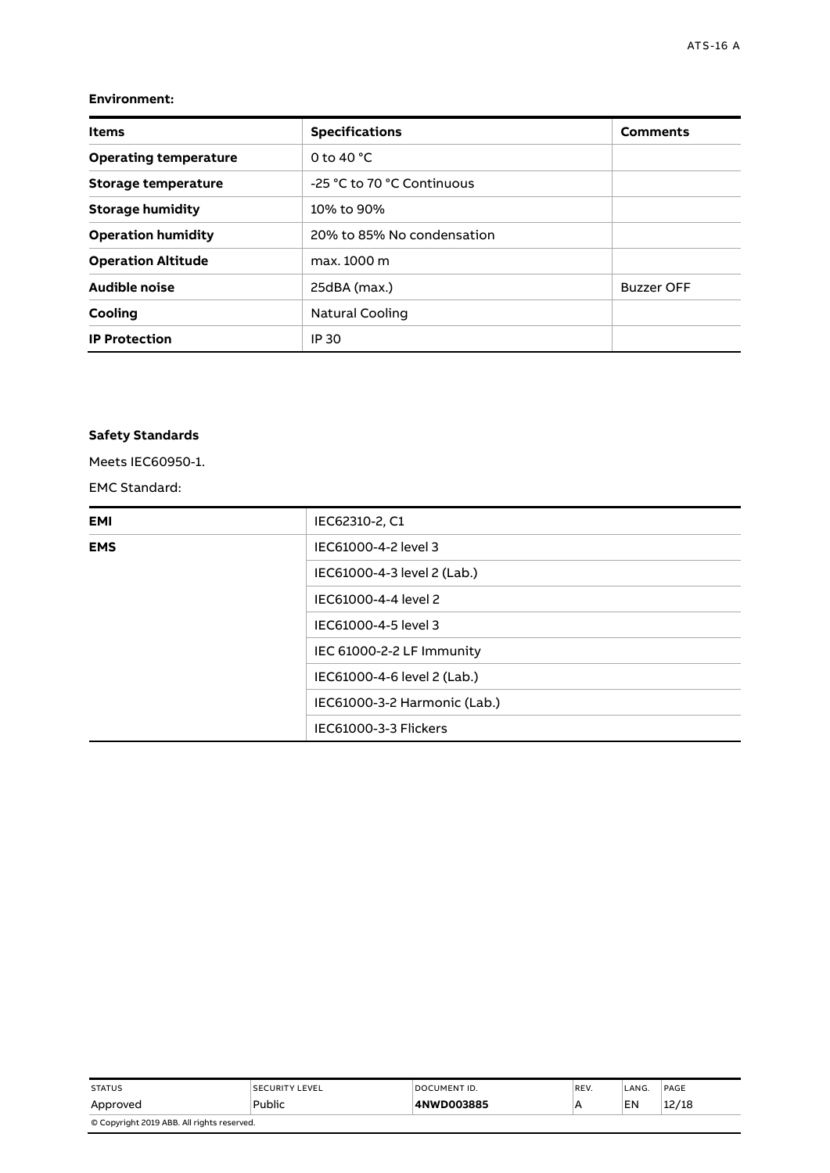#### **Environment:**

| <b>Items</b>                 | <b>Specifications</b>      | <b>Comments</b>   |
|------------------------------|----------------------------|-------------------|
| <b>Operating temperature</b> | 0 to 40 $^{\circ}$ C       |                   |
| Storage temperature          | -25 °C to 70 °C Continuous |                   |
| <b>Storage humidity</b>      | 10% to 90%                 |                   |
| <b>Operation humidity</b>    | 20% to 85% No condensation |                   |
| <b>Operation Altitude</b>    | max. 1000 m                |                   |
| Audible noise                | 25dBA (max.)               | <b>Buzzer OFF</b> |
| Cooling                      | Natural Cooling            |                   |
| <b>IP Protection</b>         | IP 30                      |                   |

#### **Safety Standards**

Meets IEC60950-1.

EMC Standard:

| EMI        | IEC62310-2, C1               |
|------------|------------------------------|
| <b>EMS</b> | IEC61000-4-2 level 3         |
|            | IEC61000-4-3 level 2 (Lab.)  |
|            | IEC61000-4-4 level 2         |
|            | IEC61000-4-5 level 3         |
|            | IEC 61000-2-2 LF Immunity    |
|            | IEC61000-4-6 level 2 (Lab.)  |
|            | IEC61000-3-2 Harmonic (Lab.) |
|            | IEC61000-3-3 Flickers        |

| <b>STATUS</b>                              | <b>SECURITY LEVEL</b> | DOCUMENT ID. | REV. | LANG. | PAGE  |
|--------------------------------------------|-----------------------|--------------|------|-------|-------|
| Approved                                   | Public                | 4NWD003885   |      | EN    | 12/18 |
| © Copyright 2019 ABB. All rights reserved. |                       |              |      |       |       |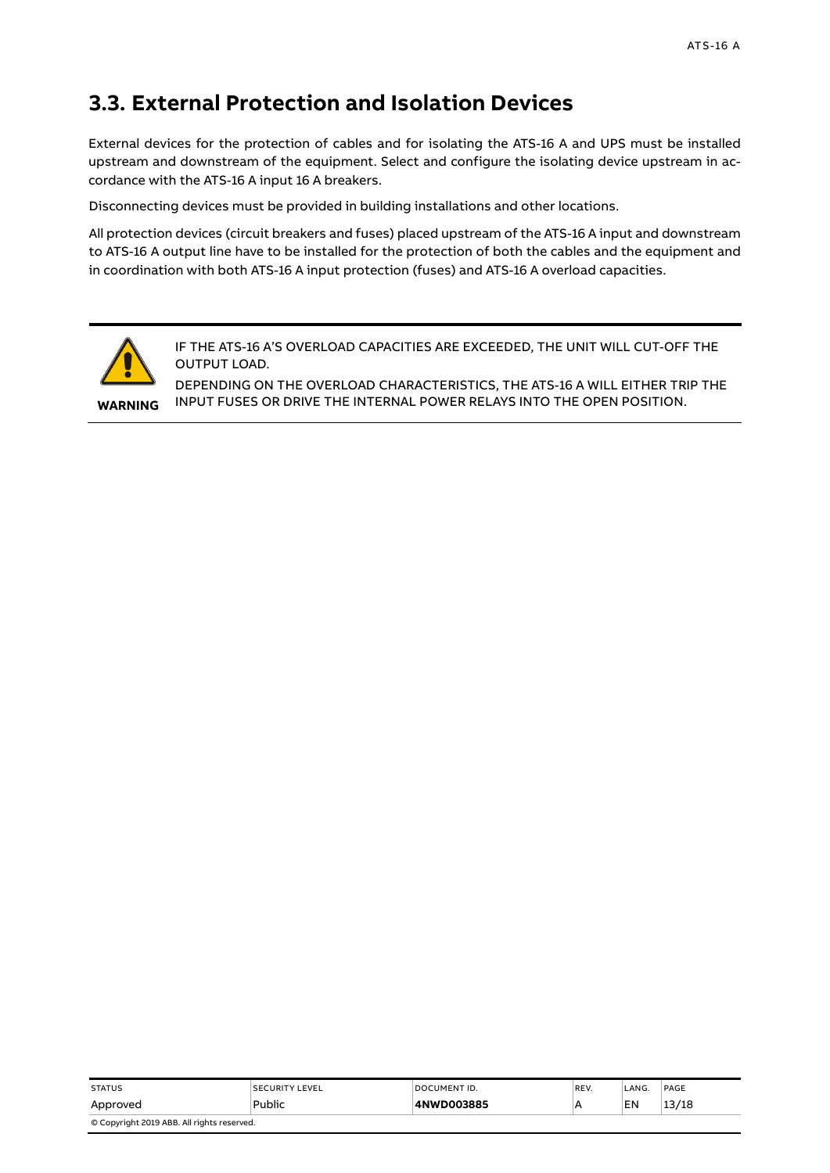## <span id="page-12-0"></span>**3.3. External Protection and Isolation Devices**

External devices for the protection of cables and for isolating the ATS-16 A and UPS must be installed upstream and downstream of the equipment. Select and configure the isolating device upstream in accordance with the ATS-16 A input 16 A breakers.

Disconnecting devices must be provided in building installations and other locations.

All protection devices (circuit breakers and fuses) placed upstream of the ATS-16 A input and downstream to ATS-16 A output line have to be installed for the protection of both the cables and the equipment and in coordination with both ATS-16 A input protection (fuses) and ATS-16 A overload capacities.



IF THE ATS-16 A'S OVERLOAD CAPACITIES ARE EXCEEDED, THE UNIT WILL CUT-OFF THE OUTPUT LOAD.

DEPENDING ON THE OVERLOAD CHARACTERISTICS, THE ATS-16 A WILL EITHER TRIP THE INPUT FUSES OR DRIVE THE INTERNAL POWER RELAYS INTO THE OPEN POSITION.

| <b>STATUS</b>                              | <b>SECURITY LEVEL</b> | DOCUMENT ID. | REV. | LANG. | PAGE  |
|--------------------------------------------|-----------------------|--------------|------|-------|-------|
| Approved                                   | Public                | 4NWD003885   | A    | EN    | 13/18 |
| © Copyright 2019 ABB. All rights reserved. |                       |              |      |       |       |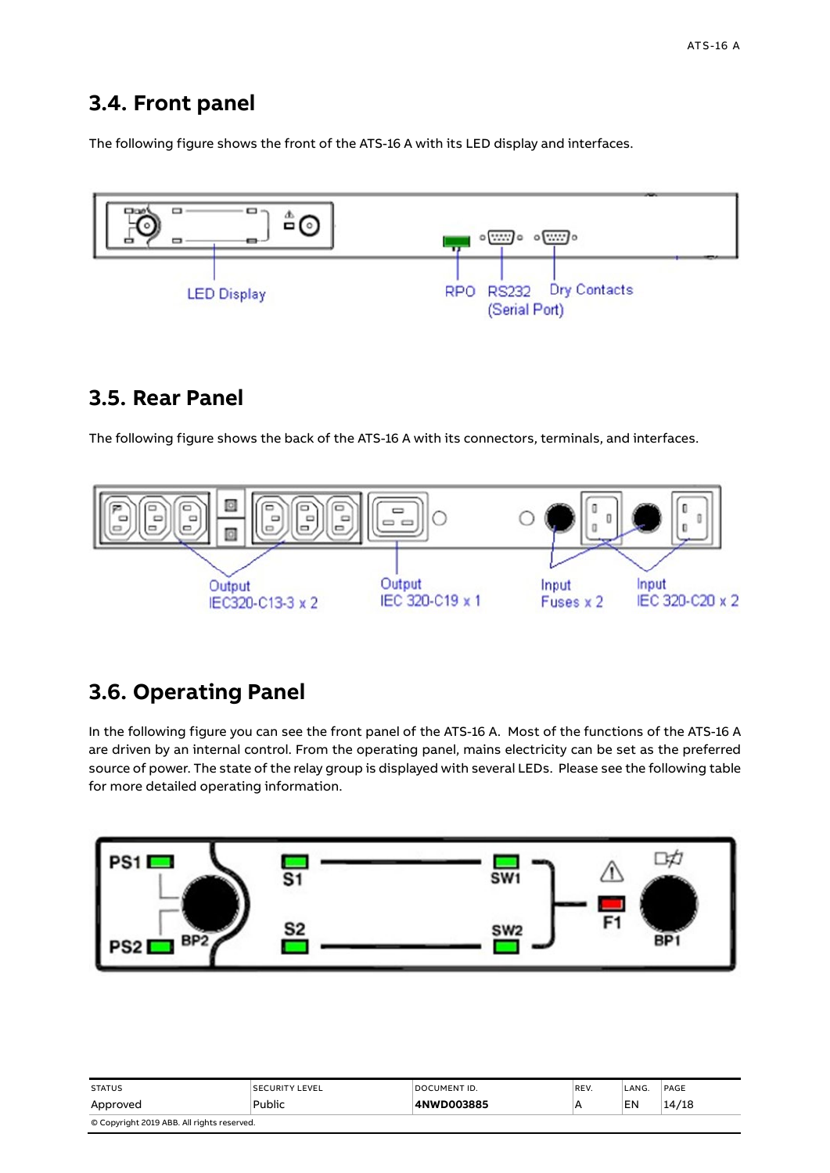### <span id="page-13-0"></span>**3.4. Front panel**

The following figure shows the front of the ATS-16 A with its LED display and interfaces.



## <span id="page-13-1"></span>**3.5. Rear Panel**

The following figure shows the back of the ATS-16 A with its connectors, terminals, and interfaces.



# <span id="page-13-2"></span>**3.6. Operating Panel**

In the following figure you can see the front panel of the ATS-16 A. Most of the functions of the ATS-16 A are driven by an internal control. From the operating panel, mains electricity can be set as the preferred source of power. The state of the relay group is displayed with several LEDs. Please see the following table for more detailed operating information.



| <b>STATUS</b>                              | <b>SECURITY LEVEL</b> | DOCUMENT ID. | REV. | LANG. | PAGE  |
|--------------------------------------------|-----------------------|--------------|------|-------|-------|
| Approved                                   | Public                | 4NWD003885   | A    | EN    | 14/18 |
| © Copyright 2019 ABB. All rights reserved. |                       |              |      |       |       |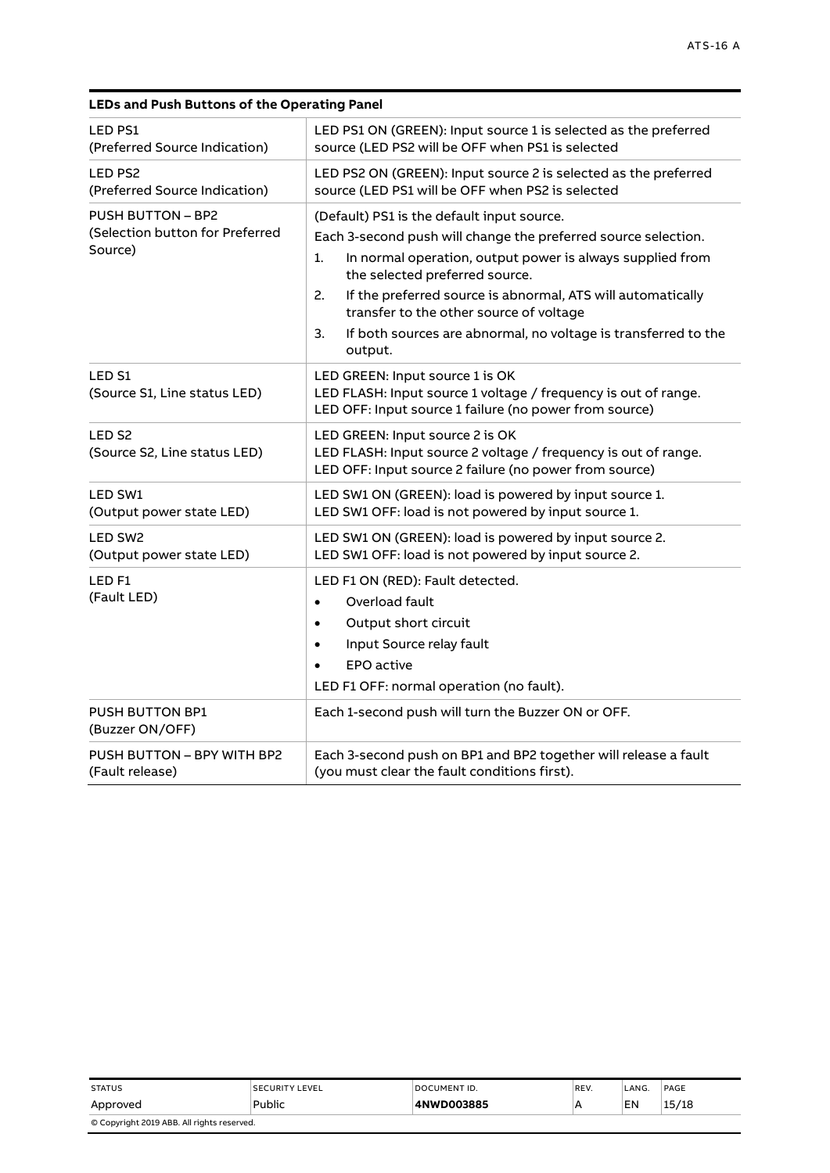| <b>LED PS1</b><br>(Preferred Source Indication)                        | LED PS1 ON (GREEN): Input source 1 is selected as the preferred<br>source (LED PS2 will be OFF when PS1 is selected                                                                                                                                                                                                                                                                                                  |
|------------------------------------------------------------------------|----------------------------------------------------------------------------------------------------------------------------------------------------------------------------------------------------------------------------------------------------------------------------------------------------------------------------------------------------------------------------------------------------------------------|
| LED PS2<br>(Preferred Source Indication)                               | LED PS2 ON (GREEN): Input source 2 is selected as the preferred<br>source (LED PS1 will be OFF when PS2 is selected                                                                                                                                                                                                                                                                                                  |
| <b>PUSH BUTTON - BP2</b><br>(Selection button for Preferred<br>Source) | (Default) PS1 is the default input source.<br>Each 3-second push will change the preferred source selection.<br>In normal operation, output power is always supplied from<br>1.<br>the selected preferred source.<br>2.<br>If the preferred source is abnormal, ATS will automatically<br>transfer to the other source of voltage<br>If both sources are abnormal, no voltage is transferred to the<br>3.<br>output. |
| LED S1<br>(Source S1, Line status LED)                                 | LED GREEN: Input source 1 is OK<br>LED FLASH: Input source 1 voltage / frequency is out of range.<br>LED OFF: Input source 1 failure (no power from source)                                                                                                                                                                                                                                                          |
| LED <sub>S2</sub><br>(Source S2, Line status LED)                      | LED GREEN: Input source 2 is OK<br>LED FLASH: Input source 2 voltage / frequency is out of range.<br>LED OFF: Input source 2 failure (no power from source)                                                                                                                                                                                                                                                          |
| LED SW1<br>(Output power state LED)                                    | LED SW1 ON (GREEN): load is powered by input source 1.<br>LED SW1 OFF: load is not powered by input source 1.                                                                                                                                                                                                                                                                                                        |
| LED SW <sub>2</sub><br>(Output power state LED)                        | LED SW1 ON (GREEN): load is powered by input source 2.<br>LED SW1 OFF: load is not powered by input source 2.                                                                                                                                                                                                                                                                                                        |
| LED <sub>F1</sub><br>(Fault LED)                                       | LED F1 ON (RED): Fault detected.<br>Overload fault<br>$\bullet$<br>Output short circuit<br>$\bullet$<br>Input Source relay fault<br>$\bullet$<br><b>EPO</b> active<br>$\bullet$<br>LED F1 OFF: normal operation (no fault).                                                                                                                                                                                          |
| <b>PUSH BUTTON BP1</b><br>(Buzzer ON/OFF)                              | Each 1-second push will turn the Buzzer ON or OFF.                                                                                                                                                                                                                                                                                                                                                                   |
| PUSH BUTTON - BPY WITH BP2<br>(Fault release)                          | Each 3-second push on BP1 and BP2 together will release a fault<br>(you must clear the fault conditions first).                                                                                                                                                                                                                                                                                                      |

#### **LEDs and Push Buttons of the Operating Panel**

| <b>STATUS</b>                              | <b>SECURITY LEVEL</b> | DOCUMENT ID. | REV. | LANG. | PAGE  |
|--------------------------------------------|-----------------------|--------------|------|-------|-------|
| Approved                                   | Public                | 4NWD003885   |      | EN    | 15/18 |
| © Copyright 2019 ABB. All rights reserved. |                       |              |      |       |       |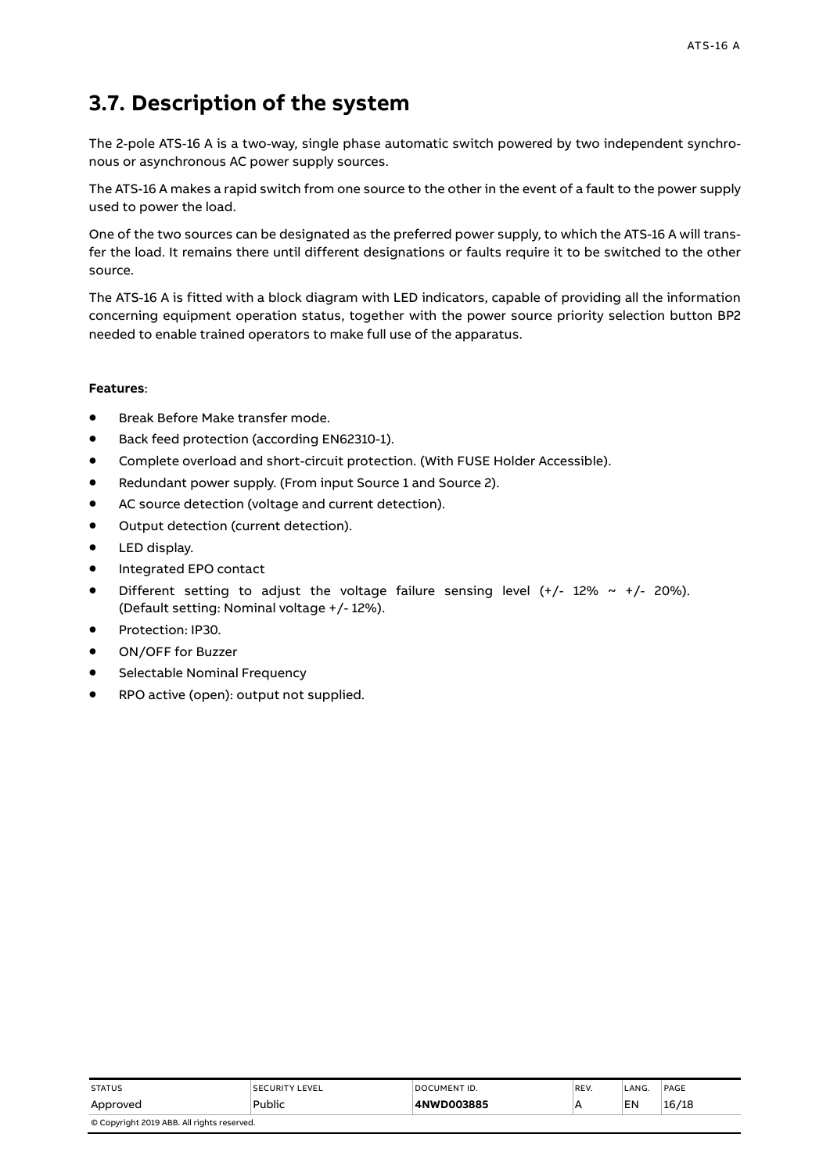# <span id="page-15-0"></span>**3.7. Description of the system**

The 2-pole ATS-16 A is a two-way, single phase automatic switch powered by two independent synchronous or asynchronous AC power supply sources.

The ATS-16 A makes a rapid switch from one source to the other in the event of a fault to the power supply used to power the load.

One of the two sources can be designated as the preferred power supply, to which the ATS-16 A will transfer the load. It remains there until different designations or faults require it to be switched to the other source.

The ATS-16 A is fitted with a block diagram with LED indicators, capable of providing all the information concerning equipment operation status, together with the power source priority selection button BP2 needed to enable trained operators to make full use of the apparatus.

#### **Features**:

- Break Before Make transfer mode.
- Back feed protection (according EN62310-1).
- Complete overload and short-circuit protection. (With FUSE Holder Accessible).
- Redundant power supply. (From input Source 1 and Source 2).
- AC source detection (voltage and current detection).
- Output detection (current detection).
- LED display.
- Integrated EPO contact
- Different setting to adjust the voltage failure sensing level  $(+/- 12\% ~ ~ ~ +/- 20\%).$ (Default setting: Nominal voltage +/- 12%).
- Protection: IP30.
- ON/OFF for Buzzer
- Selectable Nominal Frequency
- RPO active (open): output not supplied.

| <b>STATUS</b>                              | <b>SECURITY LEVEL</b> | DOCUMENT ID. | REV. | LANG. | PAGE  |  |
|--------------------------------------------|-----------------------|--------------|------|-------|-------|--|
| Approved                                   | Public                | 4NWD003885   | A    | EN    | 16/18 |  |
| © Copyright 2019 ABB. All rights reserved. |                       |              |      |       |       |  |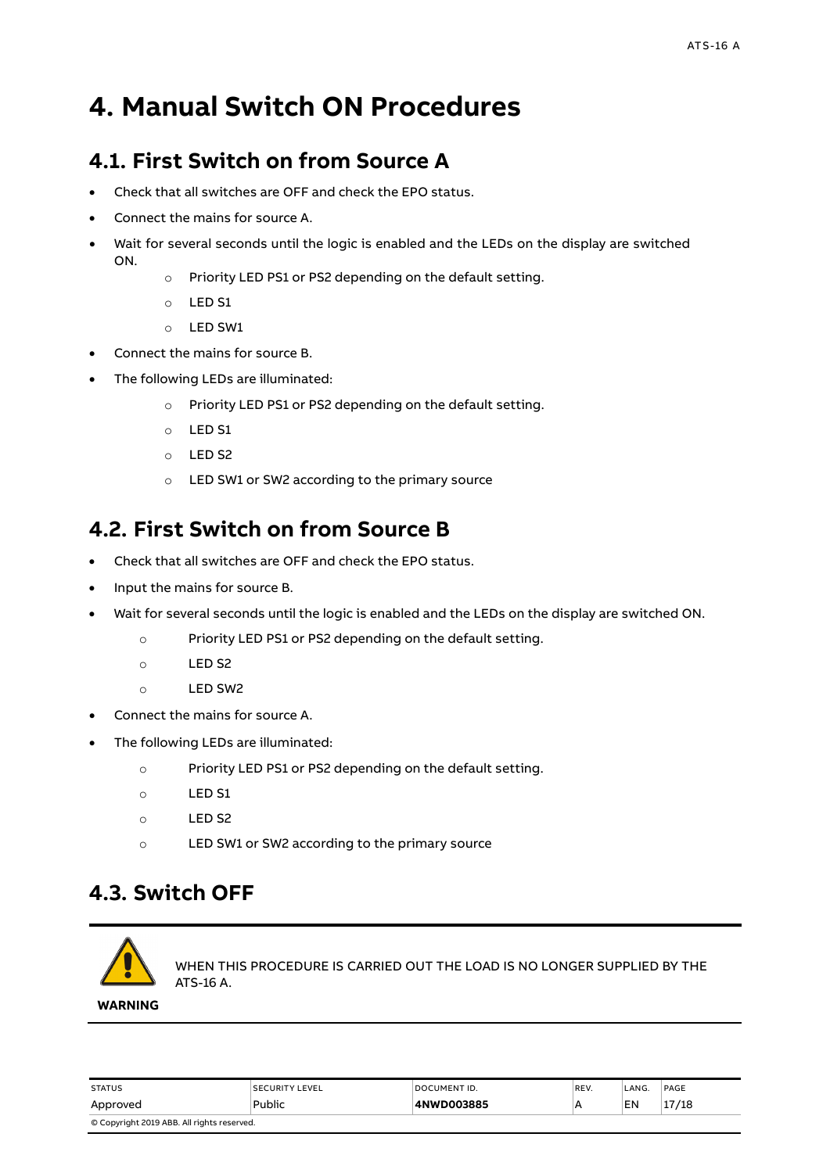# <span id="page-16-0"></span>**4. Manual Switch ON Procedures**

## <span id="page-16-1"></span>**4.1. First Switch on from Source A**

- Check that all switches are OFF and check the EPO status.
- Connect the mains for source A.
- Wait for several seconds until the logic is enabled and the LEDs on the display are switched ON.
	- o Priority LED PS1 or PS2 depending on the default setting.
	- o LED S1
	- o LED SW1
- Connect the mains for source B.
- The following LEDs are illuminated:
	- o Priority LED PS1 or PS2 depending on the default setting.
	- o LED S1
	- o LED S2
	- o LED SW1 or SW2 according to the primary source

# <span id="page-16-2"></span>**4.2. First Switch on from Source B**

- Check that all switches are OFF and check the EPO status.
- Input the mains for source B.
- Wait for several seconds until the logic is enabled and the LEDs on the display are switched ON.
	- o Priority LED PS1 or PS2 depending on the default setting.
	- o LED S2
	- o LED SW2
- Connect the mains for source A.
- The following LEDs are illuminated:
	- o Priority LED PS1 or PS2 depending on the default setting.
	- o LED S1
	- o LED S2
	- o LED SW1 or SW2 according to the primary source

# <span id="page-16-3"></span>**4.3. Switch OFF**



WHEN THIS PROCEDURE IS CARRIED OUT THE LOAD IS NO LONGER SUPPLIED BY THE ATS-16 A.

**WARNING**

| <b>STATUS</b>                              | <b>SECURITY LEVEL</b> | DOCUMENT ID. | REV. | LANG. | PAGE  |  |
|--------------------------------------------|-----------------------|--------------|------|-------|-------|--|
| Approved                                   | Public                | 4NWD003885   |      | EN    | 17/18 |  |
| © Copyright 2019 ABB. All rights reserved. |                       |              |      |       |       |  |